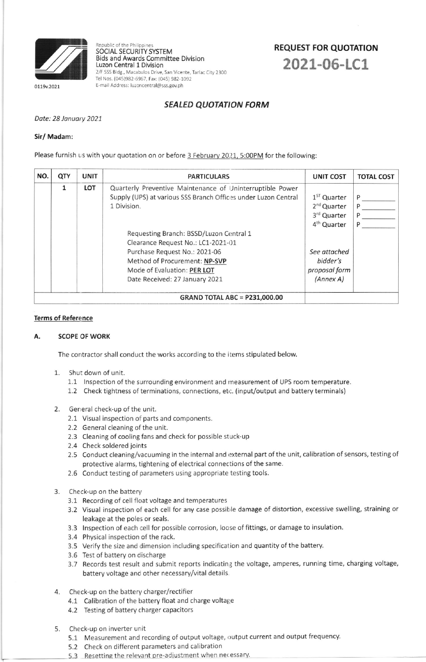

0119v.2021

Republic of the Philippine SOCIAL SECURITY SYSTEM **Bids and Awards Committee Division** Luzon Central 1 Division 2/F SSS Bldg., Macabulos Drive, San Vicente, Tarlac City 2300 Tel Nos. (045)982-6967, Fax: (045) 982-1092 E-mail Address: luzoncentral@sss.gov.ph

# **REQUEST FOR QUOTATION** 2021-06-LC1

## **SEALED QUOTATION FORM**

Date: 28 January 2021

### Sir/ Madam:

Please furnish us with your quotation on or before 3 February 2021, 5:00PM for the following:

| NO.                                  | QTY                                                                                                                                                                                                                                                                                                                                                                        | <b>UNIT</b> | <b>PARTICULARS</b>                                                                 | <b>UNIT COST</b> | <b>TOTAL COST</b> |
|--------------------------------------|----------------------------------------------------------------------------------------------------------------------------------------------------------------------------------------------------------------------------------------------------------------------------------------------------------------------------------------------------------------------------|-------------|------------------------------------------------------------------------------------|------------------|-------------------|
|                                      | LOT<br>Quarterly Preventive Maintenance of Uninterruptible Power<br>1<br>Supply (UPS) at various SSS Branch Offices under Luzon Central<br>1 Division.<br>Requesting Branch: BSSD/Luzon Central 1<br>Clearance Request No.: LC1-2021-01<br>Purchase Request No.: 2021-06<br>Method of Procurement: NP-SVP<br>Mode of Evaluation: PER LOT<br>Date Received: 27 January 2021 |             | $1ST$ Quarter<br>2 <sup>nd</sup> Quarter<br>3rd Quarter<br>4 <sup>th</sup> Quarter | P<br>P<br>P<br>P |                   |
|                                      |                                                                                                                                                                                                                                                                                                                                                                            |             | See attached<br>bidder's<br>proposal form<br>(Annex A)                             |                  |                   |
| <b>GRAND TOTAL ABC = P231,000.00</b> |                                                                                                                                                                                                                                                                                                                                                                            |             |                                                                                    |                  |                   |

#### **Terms of Reference**

#### Α. **SCOPE OF WORK**

The contractor shall conduct the works according to the items stipulated below.

- 1. Shut down of unit.
	- 1.1 Inspection of the surrounding environment and measurement of UPS room temperature.
	- 1.2 Check tightness of terminations, connections, etc. (input/output and battery terminals)
- 2. General check-up of the unit.
	- 2.1 Visual inspection of parts and components.
	- 2.2 General cleaning of the unit.
	- 2.3 Cleaning of cooling fans and check for possible stuck-up
	- 2.4 Check soldered joints
	- 2.5 Conduct cleaning/vacuuming in the internal and external part of the unit, calibration of sensors, testing of protective alarms, tightening of electrical connections of the same.
	- 2.6 Conduct testing of parameters using appropriate testing tools.
- 3. Check-up on the battery
	- 3.1 Recording of cell float voltage and temperatures
	- 3.2 Visual inspection of each cell for any case possible damage of distortion, excessive swelling, straining or leakage at the poles or seals.
	- 3.3 Inspection of each cell for possible corrosion, loose of fittings, or damage to insulation.
	- 3.4 Physical inspection of the rack.
	- 3.5 Verify the size and dimension including specification and quantity of the battery.
	- 3.6 Test of battery on discharge
	- 3.7 Records test result and submit reports indicating the voltage, amperes, running time, charging voltage, battery voltage and other necessary/vital details.
- 4. Check-up on the battery charger/rectifier
	- 4.1 Calibration of the battery float and charge voltage
	- 4.2 Testing of battery charger capacitors
- 5. Check-up on inverter unit
	- 5.1 Measurement and recording of output voltage, output current and output frequency.
	- 5.2 Check on different parameters and calibration
	- 5.3 Resetting the relevant pre-adjustment when necessary.